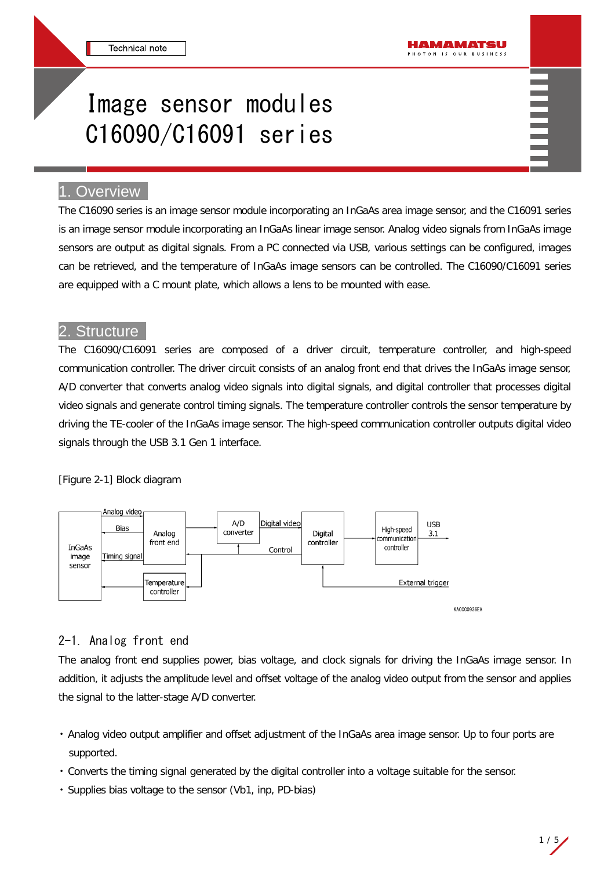# Image sensor modules C16090/C16091 series

# 1. Overview

The C16090 series is an image sensor module incorporating an InGaAs area image sensor, and the C16091 series is an image sensor module incorporating an InGaAs linear image sensor. Analog video signals from InGaAs image sensors are output as digital signals. From a PC connected via USB, various settings can be configured, images can be retrieved, and the temperature of InGaAs image sensors can be controlled. The C16090/C16091 series are equipped with a C mount plate, which allows a lens to be mounted with ease.

## **Structure**

The C16090/C16091 series are composed of a driver circuit, temperature controller, and high-speed communication controller. The driver circuit consists of an analog front end that drives the InGaAs image sensor, A/D converter that converts analog video signals into digital signals, and digital controller that processes digital video signals and generate control timing signals. The temperature controller controls the sensor temperature by driving the TE-cooler of the InGaAs image sensor. The high-speed communication controller outputs digital video signals through the USB 3.1 Gen 1 interface.

#### [Figure 2-1] Block diagram



# 2-1. Analog front end

The analog front end supplies power, bias voltage, and clock signals for driving the InGaAs image sensor. In addition, it adjusts the amplitude level and offset voltage of the analog video output from the sensor and applies the signal to the latter-stage A/D converter.

- Analog video output amplifier and offset adjustment of the InGaAs area image sensor. Up to four ports are supported.
- Converts the timing signal generated by the digital controller into a voltage suitable for the sensor.
- Supplies bias voltage to the sensor (Vb1, inp, PD-bias)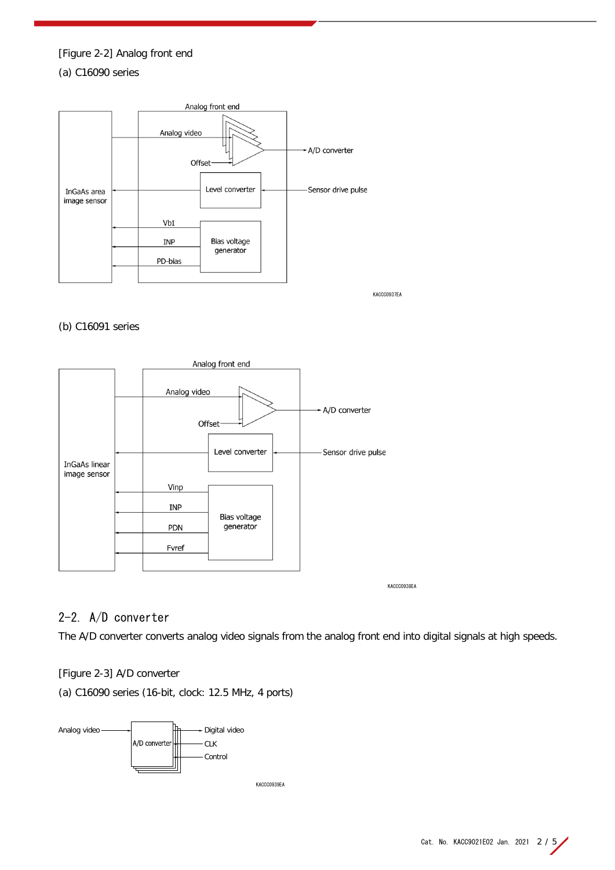# [Figure 2-2] Analog front end (a) C16090 series



KACCC0937EA

### (b) C16091 series



KACCC0938EA

# 2-2. A/D converter

The A/D converter converts analog video signals from the analog front end into digital signals at high speeds.

#### [Figure 2-3] A/D converter

(a) C16090 series (16-bit, clock: 12.5 MHz, 4 ports)

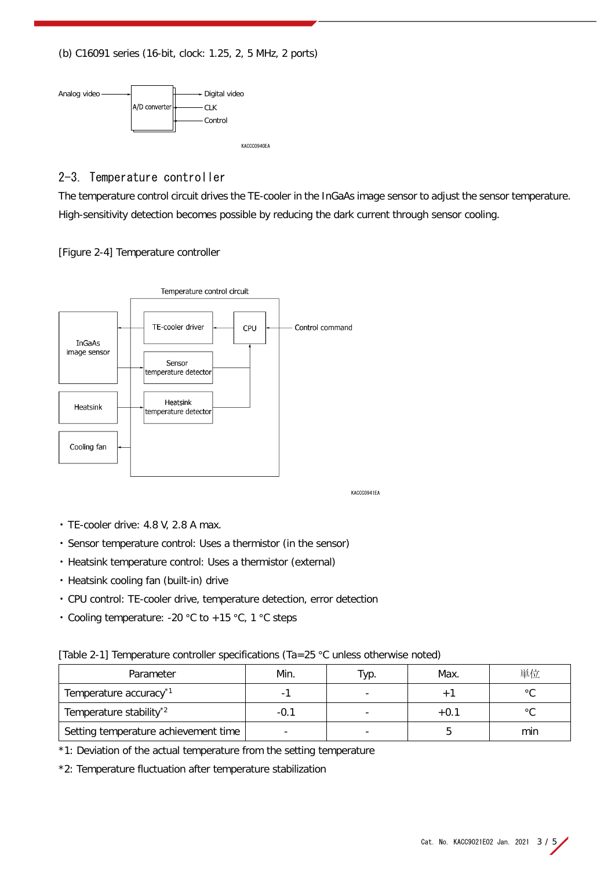(b) C16091 series (16-bit, clock: 1.25, 2, 5 MHz, 2 ports)



2-3. Temperature controller

The temperature control circuit drives the TE-cooler in the InGaAs image sensor to adjust the sensor temperature. High-sensitivity detection becomes possible by reducing the dark current through sensor cooling.

[Figure 2-4] Temperature controller



KACCC0941EA

- TE-cooler drive: 4.8 V, 2.8 A max.
- Sensor temperature control: Uses a thermistor (in the sensor)
- Heatsink temperature control: Uses a thermistor (external)
- Heatsink cooling fan (built-in) drive
- CPU control: TE-cooler drive, temperature detection, error detection
- Cooling temperature: -20 °C to +15 °C, 1 °C steps

[Table 2-1] Temperature controller specifications (Ta=25 °C unless otherwise noted)

| Parameter                            | Min.   | Typ. | Max.   | 単位      |
|--------------------------------------|--------|------|--------|---------|
| Temperature accuracy <sup>*1</sup>   |        |      |        | $\circ$ |
| Temperature stability <sup>*2</sup>  | $-0$ . |      | $+0.1$ | $\circ$ |
| Setting temperature achievement time |        |      |        | min     |

\*1: Deviation of the actual temperature from the setting temperature

\*2: Temperature fluctuation after temperature stabilization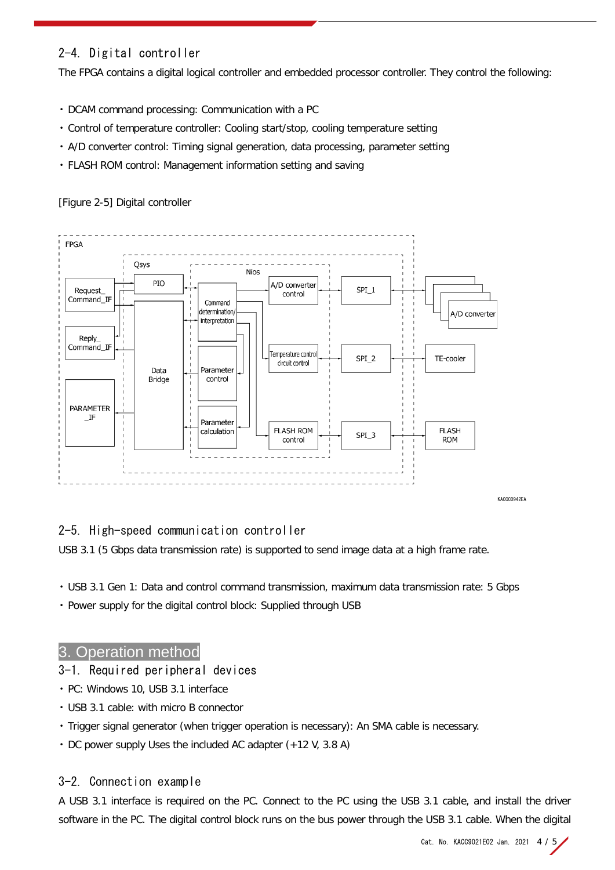# 2-4. Digital controller

The FPGA contains a digital logical controller and embedded processor controller. They control the following:

- DCAM command processing: Communication with a PC
- Control of temperature controller: Cooling start/stop, cooling temperature setting
- A/D converter control: Timing signal generation, data processing, parameter setting
- FLASH ROM control: Management information setting and saving



[Figure 2-5] Digital controller

# 2-5. High-speed communication controller

USB 3.1 (5 Gbps data transmission rate) is supported to send image data at a high frame rate.

- USB 3.1 Gen 1: Data and control command transmission, maximum data transmission rate: 5 Gbps
- Power supply for the digital control block: Supplied through USB

## 3. Operation method

## 3-1. Required peripheral devices

- PC: Windows 10, USB 3.1 interface
- USB 3.1 cable: with micro B connector
- Trigger signal generator (when trigger operation is necessary): An SMA cable is necessary.
- DC power supply Uses the included AC adapter (+12 V, 3.8 A)

## 3-2. Connection example

A USB 3.1 interface is required on the PC. Connect to the PC using the USB 3.1 cable, and install the driver software in the PC. The digital control block runs on the bus power through the USB 3.1 cable. When the digital